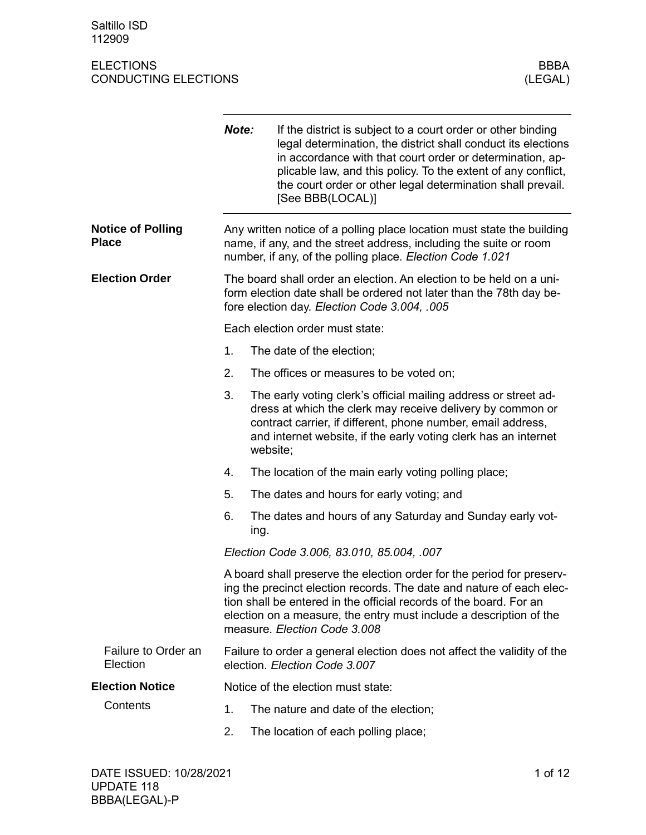|                                          | Note:                                                                                                                                                                                                                                                                                                                     | If the district is subject to a court order or other binding<br>legal determination, the district shall conduct its elections<br>in accordance with that court order or determination, ap-<br>plicable law, and this policy. To the extent of any conflict,<br>the court order or other legal determination shall prevail.<br>[See BBB(LOCAL)] |  |  |
|------------------------------------------|---------------------------------------------------------------------------------------------------------------------------------------------------------------------------------------------------------------------------------------------------------------------------------------------------------------------------|------------------------------------------------------------------------------------------------------------------------------------------------------------------------------------------------------------------------------------------------------------------------------------------------------------------------------------------------|--|--|
| <b>Notice of Polling</b><br><b>Place</b> |                                                                                                                                                                                                                                                                                                                           | Any written notice of a polling place location must state the building<br>name, if any, and the street address, including the suite or room<br>number, if any, of the polling place. Election Code 1.021                                                                                                                                       |  |  |
| <b>Election Order</b>                    | The board shall order an election. An election to be held on a uni-<br>form election date shall be ordered not later than the 78th day be-<br>fore election day. Election Code 3.004, .005                                                                                                                                |                                                                                                                                                                                                                                                                                                                                                |  |  |
|                                          |                                                                                                                                                                                                                                                                                                                           | Each election order must state:                                                                                                                                                                                                                                                                                                                |  |  |
|                                          | 1.                                                                                                                                                                                                                                                                                                                        | The date of the election;                                                                                                                                                                                                                                                                                                                      |  |  |
|                                          | 2.                                                                                                                                                                                                                                                                                                                        | The offices or measures to be voted on;                                                                                                                                                                                                                                                                                                        |  |  |
|                                          | 3.                                                                                                                                                                                                                                                                                                                        | The early voting clerk's official mailing address or street ad-<br>dress at which the clerk may receive delivery by common or<br>contract carrier, if different, phone number, email address,<br>and internet website, if the early voting clerk has an internet<br>website;                                                                   |  |  |
|                                          | 4.                                                                                                                                                                                                                                                                                                                        | The location of the main early voting polling place;                                                                                                                                                                                                                                                                                           |  |  |
|                                          | 5.                                                                                                                                                                                                                                                                                                                        | The dates and hours for early voting; and                                                                                                                                                                                                                                                                                                      |  |  |
|                                          | 6.                                                                                                                                                                                                                                                                                                                        | The dates and hours of any Saturday and Sunday early vot-<br>ing.                                                                                                                                                                                                                                                                              |  |  |
|                                          |                                                                                                                                                                                                                                                                                                                           | Election Code 3.006, 83.010, 85.004, .007                                                                                                                                                                                                                                                                                                      |  |  |
|                                          | A board shall preserve the election order for the period for preserv-<br>ing the precinct election records. The date and nature of each elec-<br>tion shall be entered in the official records of the board. For an<br>election on a measure, the entry must include a description of the<br>measure. Election Code 3,008 |                                                                                                                                                                                                                                                                                                                                                |  |  |
| Failure to Order an<br>Election          |                                                                                                                                                                                                                                                                                                                           | Failure to order a general election does not affect the validity of the<br>election. Election Code 3.007                                                                                                                                                                                                                                       |  |  |
| <b>Election Notice</b>                   |                                                                                                                                                                                                                                                                                                                           | Notice of the election must state:                                                                                                                                                                                                                                                                                                             |  |  |
| Contents                                 | 1.                                                                                                                                                                                                                                                                                                                        | The nature and date of the election;                                                                                                                                                                                                                                                                                                           |  |  |
|                                          | 2.                                                                                                                                                                                                                                                                                                                        | The location of each polling place;                                                                                                                                                                                                                                                                                                            |  |  |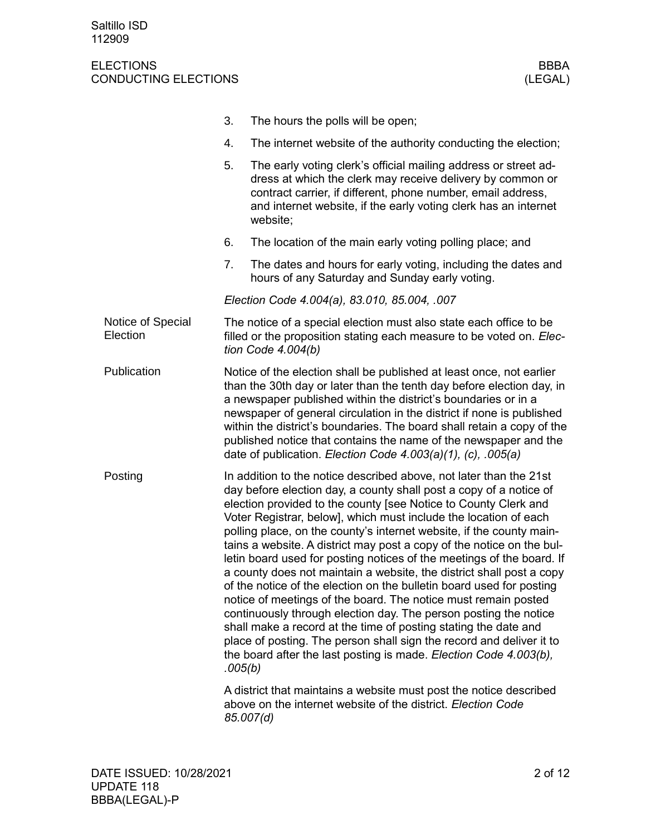|                               | 3.                                                                                                                                                                                                                                                                                                                                                                                                                                                                                                                                                                                                                                                                                                                                                                                                                                                                                                                                                                                                                                                                                               | The hours the polls will be open;                                                                                                                                                                                                                                            |  |  |  |  |  |
|-------------------------------|--------------------------------------------------------------------------------------------------------------------------------------------------------------------------------------------------------------------------------------------------------------------------------------------------------------------------------------------------------------------------------------------------------------------------------------------------------------------------------------------------------------------------------------------------------------------------------------------------------------------------------------------------------------------------------------------------------------------------------------------------------------------------------------------------------------------------------------------------------------------------------------------------------------------------------------------------------------------------------------------------------------------------------------------------------------------------------------------------|------------------------------------------------------------------------------------------------------------------------------------------------------------------------------------------------------------------------------------------------------------------------------|--|--|--|--|--|
|                               | 4.                                                                                                                                                                                                                                                                                                                                                                                                                                                                                                                                                                                                                                                                                                                                                                                                                                                                                                                                                                                                                                                                                               | The internet website of the authority conducting the election;                                                                                                                                                                                                               |  |  |  |  |  |
|                               | 5.                                                                                                                                                                                                                                                                                                                                                                                                                                                                                                                                                                                                                                                                                                                                                                                                                                                                                                                                                                                                                                                                                               | The early voting clerk's official mailing address or street ad-<br>dress at which the clerk may receive delivery by common or<br>contract carrier, if different, phone number, email address,<br>and internet website, if the early voting clerk has an internet<br>website; |  |  |  |  |  |
|                               | 6.                                                                                                                                                                                                                                                                                                                                                                                                                                                                                                                                                                                                                                                                                                                                                                                                                                                                                                                                                                                                                                                                                               | The location of the main early voting polling place; and                                                                                                                                                                                                                     |  |  |  |  |  |
|                               | 7.                                                                                                                                                                                                                                                                                                                                                                                                                                                                                                                                                                                                                                                                                                                                                                                                                                                                                                                                                                                                                                                                                               | The dates and hours for early voting, including the dates and<br>hours of any Saturday and Sunday early voting.                                                                                                                                                              |  |  |  |  |  |
|                               | Election Code 4.004(a), 83.010, 85.004, .007                                                                                                                                                                                                                                                                                                                                                                                                                                                                                                                                                                                                                                                                                                                                                                                                                                                                                                                                                                                                                                                     |                                                                                                                                                                                                                                                                              |  |  |  |  |  |
| Notice of Special<br>Election | The notice of a special election must also state each office to be<br>filled or the proposition stating each measure to be voted on. Elec-<br>tion Code $4.004(b)$                                                                                                                                                                                                                                                                                                                                                                                                                                                                                                                                                                                                                                                                                                                                                                                                                                                                                                                               |                                                                                                                                                                                                                                                                              |  |  |  |  |  |
| Publication                   | Notice of the election shall be published at least once, not earlier<br>than the 30th day or later than the tenth day before election day, in<br>a newspaper published within the district's boundaries or in a<br>newspaper of general circulation in the district if none is published<br>within the district's boundaries. The board shall retain a copy of the<br>published notice that contains the name of the newspaper and the<br>date of publication. Election Code $4.003(a)(1)$ , (c), .005(a)                                                                                                                                                                                                                                                                                                                                                                                                                                                                                                                                                                                        |                                                                                                                                                                                                                                                                              |  |  |  |  |  |
| Posting                       | In addition to the notice described above, not later than the 21st<br>day before election day, a county shall post a copy of a notice of<br>election provided to the county [see Notice to County Clerk and<br>Voter Registrar, below], which must include the location of each<br>polling place, on the county's internet website, if the county main-<br>tains a website. A district may post a copy of the notice on the bul-<br>letin board used for posting notices of the meetings of the board. If<br>a county does not maintain a website, the district shall post a copy<br>of the notice of the election on the bulletin board used for posting<br>notice of meetings of the board. The notice must remain posted<br>continuously through election day. The person posting the notice<br>shall make a record at the time of posting stating the date and<br>place of posting. The person shall sign the record and deliver it to<br>the board after the last posting is made. Election Code 4.003(b),<br>.005(b)<br>A district that maintains a website must post the notice described |                                                                                                                                                                                                                                                                              |  |  |  |  |  |
|                               | above on the internet website of the district. Election Code                                                                                                                                                                                                                                                                                                                                                                                                                                                                                                                                                                                                                                                                                                                                                                                                                                                                                                                                                                                                                                     |                                                                                                                                                                                                                                                                              |  |  |  |  |  |

*85.007(d)*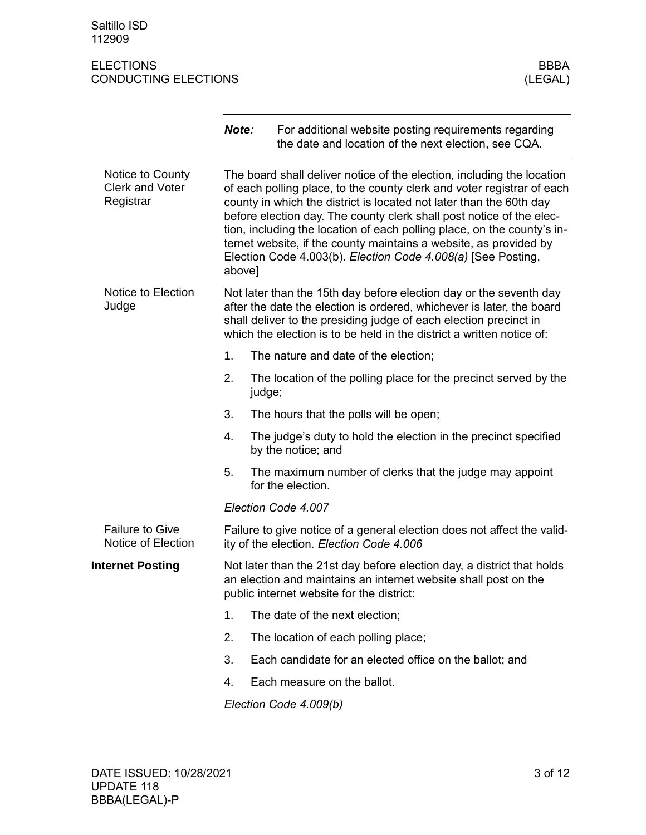|                                                         | Note:  | For additional website posting requirements regarding<br>the date and location of the next election, see CQA.                                                                                                                                                                                                                                                                                                                                                                                                   |  |  |  |  |  |
|---------------------------------------------------------|--------|-----------------------------------------------------------------------------------------------------------------------------------------------------------------------------------------------------------------------------------------------------------------------------------------------------------------------------------------------------------------------------------------------------------------------------------------------------------------------------------------------------------------|--|--|--|--|--|
| Notice to County<br><b>Clerk and Voter</b><br>Registrar | above] | The board shall deliver notice of the election, including the location<br>of each polling place, to the county clerk and voter registrar of each<br>county in which the district is located not later than the 60th day<br>before election day. The county clerk shall post notice of the elec-<br>tion, including the location of each polling place, on the county's in-<br>ternet website, if the county maintains a website, as provided by<br>Election Code 4.003(b). Election Code 4.008(a) [See Posting, |  |  |  |  |  |
| Notice to Election<br>Judge                             |        | Not later than the 15th day before election day or the seventh day<br>after the date the election is ordered, whichever is later, the board<br>shall deliver to the presiding judge of each election precinct in<br>which the election is to be held in the district a written notice of:                                                                                                                                                                                                                       |  |  |  |  |  |
|                                                         | 1.     | The nature and date of the election;                                                                                                                                                                                                                                                                                                                                                                                                                                                                            |  |  |  |  |  |
|                                                         | 2.     | The location of the polling place for the precinct served by the<br>judge;                                                                                                                                                                                                                                                                                                                                                                                                                                      |  |  |  |  |  |
|                                                         | 3.     | The hours that the polls will be open;                                                                                                                                                                                                                                                                                                                                                                                                                                                                          |  |  |  |  |  |
|                                                         | 4.     | The judge's duty to hold the election in the precinct specified<br>by the notice; and                                                                                                                                                                                                                                                                                                                                                                                                                           |  |  |  |  |  |
|                                                         | 5.     | The maximum number of clerks that the judge may appoint<br>for the election.                                                                                                                                                                                                                                                                                                                                                                                                                                    |  |  |  |  |  |
|                                                         |        | Election Code 4.007                                                                                                                                                                                                                                                                                                                                                                                                                                                                                             |  |  |  |  |  |
| <b>Failure to Give</b><br>Notice of Election            |        | Failure to give notice of a general election does not affect the valid-<br>ity of the election. Election Code 4.006                                                                                                                                                                                                                                                                                                                                                                                             |  |  |  |  |  |
| <b>Internet Posting</b>                                 |        | Not later than the 21st day before election day, a district that holds<br>an election and maintains an internet website shall post on the<br>public internet website for the district:                                                                                                                                                                                                                                                                                                                          |  |  |  |  |  |
|                                                         | 1.     | The date of the next election;                                                                                                                                                                                                                                                                                                                                                                                                                                                                                  |  |  |  |  |  |
|                                                         | 2.     | The location of each polling place;                                                                                                                                                                                                                                                                                                                                                                                                                                                                             |  |  |  |  |  |
|                                                         | 3.     | Each candidate for an elected office on the ballot; and                                                                                                                                                                                                                                                                                                                                                                                                                                                         |  |  |  |  |  |
|                                                         | 4.     | Each measure on the ballot.                                                                                                                                                                                                                                                                                                                                                                                                                                                                                     |  |  |  |  |  |
|                                                         |        | Election Code 4.009(b)                                                                                                                                                                                                                                                                                                                                                                                                                                                                                          |  |  |  |  |  |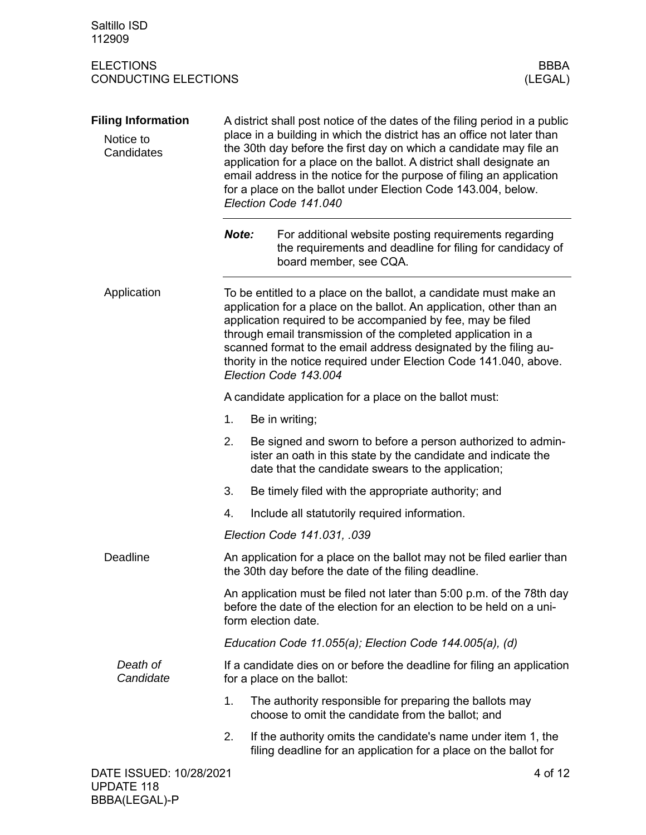| <b>Filing Information</b> |                                                                                                                                                                      | A district shall post notice of the dates of the filing period in a public                                                                                                                                                                                                                                                                                                                                                                  |  |  |  |  |
|---------------------------|----------------------------------------------------------------------------------------------------------------------------------------------------------------------|---------------------------------------------------------------------------------------------------------------------------------------------------------------------------------------------------------------------------------------------------------------------------------------------------------------------------------------------------------------------------------------------------------------------------------------------|--|--|--|--|
| Notice to<br>Candidates   |                                                                                                                                                                      | place in a building in which the district has an office not later than<br>the 30th day before the first day on which a candidate may file an<br>application for a place on the ballot. A district shall designate an<br>email address in the notice for the purpose of filing an application<br>for a place on the ballot under Election Code 143.004, below.<br>Election Code 141.040                                                      |  |  |  |  |
|                           | Note:                                                                                                                                                                | For additional website posting requirements regarding<br>the requirements and deadline for filing for candidacy of<br>board member, see CQA.                                                                                                                                                                                                                                                                                                |  |  |  |  |
| Application               |                                                                                                                                                                      | To be entitled to a place on the ballot, a candidate must make an<br>application for a place on the ballot. An application, other than an<br>application required to be accompanied by fee, may be filed<br>through email transmission of the completed application in a<br>scanned format to the email address designated by the filing au-<br>thority in the notice required under Election Code 141.040, above.<br>Election Code 143.004 |  |  |  |  |
|                           |                                                                                                                                                                      | A candidate application for a place on the ballot must:                                                                                                                                                                                                                                                                                                                                                                                     |  |  |  |  |
|                           | 1.                                                                                                                                                                   | Be in writing;                                                                                                                                                                                                                                                                                                                                                                                                                              |  |  |  |  |
|                           | 2.                                                                                                                                                                   | Be signed and sworn to before a person authorized to admin-<br>ister an oath in this state by the candidate and indicate the<br>date that the candidate swears to the application;                                                                                                                                                                                                                                                          |  |  |  |  |
|                           | 3.                                                                                                                                                                   | Be timely filed with the appropriate authority; and                                                                                                                                                                                                                                                                                                                                                                                         |  |  |  |  |
|                           | 4.                                                                                                                                                                   | Include all statutorily required information.                                                                                                                                                                                                                                                                                                                                                                                               |  |  |  |  |
|                           |                                                                                                                                                                      | Election Code 141.031, .039                                                                                                                                                                                                                                                                                                                                                                                                                 |  |  |  |  |
| Deadline                  |                                                                                                                                                                      | An application for a place on the ballot may not be filed earlier than<br>the 30th day before the date of the filing deadline.                                                                                                                                                                                                                                                                                                              |  |  |  |  |
|                           | An application must be filed not later than 5:00 p.m. of the 78th day<br>before the date of the election for an election to be held on a uni-<br>form election date. |                                                                                                                                                                                                                                                                                                                                                                                                                                             |  |  |  |  |
|                           |                                                                                                                                                                      | Education Code 11.055(a); Election Code 144.005(a), (d)                                                                                                                                                                                                                                                                                                                                                                                     |  |  |  |  |
| Death of<br>Candidate     |                                                                                                                                                                      | If a candidate dies on or before the deadline for filing an application<br>for a place on the ballot:                                                                                                                                                                                                                                                                                                                                       |  |  |  |  |
|                           | 1.                                                                                                                                                                   | The authority responsible for preparing the ballots may<br>choose to omit the candidate from the ballot; and                                                                                                                                                                                                                                                                                                                                |  |  |  |  |
|                           | 2.                                                                                                                                                                   | If the authority omits the candidate's name under item 1, the<br>filing deadline for an application for a place on the ballot for                                                                                                                                                                                                                                                                                                           |  |  |  |  |
| DATE ISSUED: 10/28/2021   |                                                                                                                                                                      | 4 of 12                                                                                                                                                                                                                                                                                                                                                                                                                                     |  |  |  |  |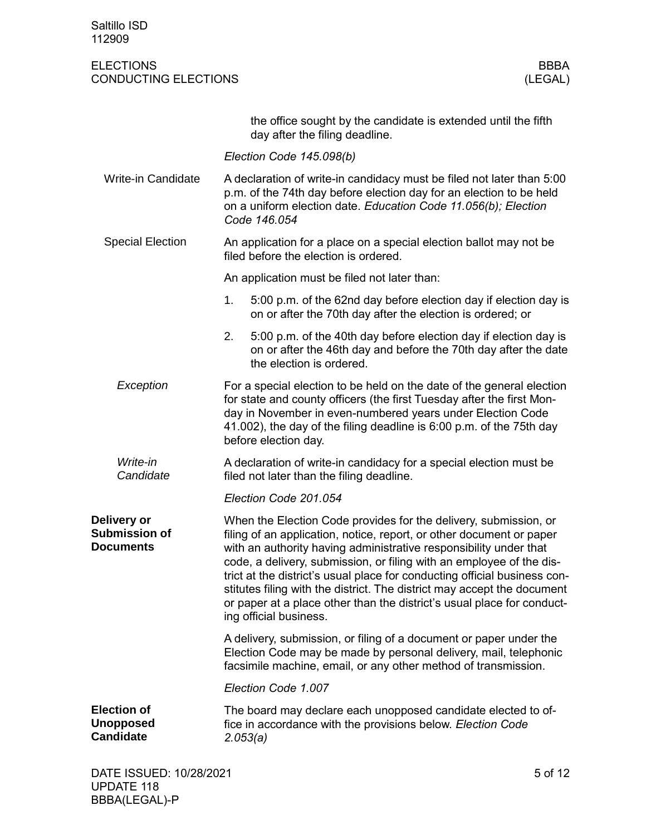Saltillo ISD 112909

|                                                            |                                                                                                                                                                                                                                                                                                              | the office sought by the candidate is extended until the fifth<br>day after the filing deadline.                                                                                                                                                                                                                                                                                                                                                                                                                                                  |  |  |
|------------------------------------------------------------|--------------------------------------------------------------------------------------------------------------------------------------------------------------------------------------------------------------------------------------------------------------------------------------------------------------|---------------------------------------------------------------------------------------------------------------------------------------------------------------------------------------------------------------------------------------------------------------------------------------------------------------------------------------------------------------------------------------------------------------------------------------------------------------------------------------------------------------------------------------------------|--|--|
|                                                            |                                                                                                                                                                                                                                                                                                              | Election Code 145.098(b)                                                                                                                                                                                                                                                                                                                                                                                                                                                                                                                          |  |  |
| <b>Write-in Candidate</b>                                  | A declaration of write-in candidacy must be filed not later than 5:00<br>p.m. of the 74th day before election day for an election to be held<br>on a uniform election date. Education Code 11.056(b); Election<br>Code 146.054                                                                               |                                                                                                                                                                                                                                                                                                                                                                                                                                                                                                                                                   |  |  |
| <b>Special Election</b>                                    |                                                                                                                                                                                                                                                                                                              | An application for a place on a special election ballot may not be<br>filed before the election is ordered.                                                                                                                                                                                                                                                                                                                                                                                                                                       |  |  |
|                                                            |                                                                                                                                                                                                                                                                                                              | An application must be filed not later than:                                                                                                                                                                                                                                                                                                                                                                                                                                                                                                      |  |  |
|                                                            | 1.                                                                                                                                                                                                                                                                                                           | 5:00 p.m. of the 62nd day before election day if election day is<br>on or after the 70th day after the election is ordered; or                                                                                                                                                                                                                                                                                                                                                                                                                    |  |  |
|                                                            | 2.                                                                                                                                                                                                                                                                                                           | 5:00 p.m. of the 40th day before election day if election day is<br>on or after the 46th day and before the 70th day after the date<br>the election is ordered.                                                                                                                                                                                                                                                                                                                                                                                   |  |  |
| Exception                                                  | For a special election to be held on the date of the general election<br>for state and county officers (the first Tuesday after the first Mon-<br>day in November in even-numbered years under Election Code<br>41.002), the day of the filing deadline is 6:00 p.m. of the 75th day<br>before election day. |                                                                                                                                                                                                                                                                                                                                                                                                                                                                                                                                                   |  |  |
| Write-in<br>Candidate                                      | A declaration of write-in candidacy for a special election must be<br>filed not later than the filing deadline.                                                                                                                                                                                              |                                                                                                                                                                                                                                                                                                                                                                                                                                                                                                                                                   |  |  |
|                                                            |                                                                                                                                                                                                                                                                                                              | Election Code 201.054                                                                                                                                                                                                                                                                                                                                                                                                                                                                                                                             |  |  |
| Delivery or<br><b>Submission of</b><br><b>Documents</b>    |                                                                                                                                                                                                                                                                                                              | When the Election Code provides for the delivery, submission, or<br>filing of an application, notice, report, or other document or paper<br>with an authority having administrative responsibility under that<br>code, a delivery, submission, or filing with an employee of the dis-<br>trict at the district's usual place for conducting official business con-<br>stitutes filing with the district. The district may accept the document<br>or paper at a place other than the district's usual place for conduct-<br>ing official business. |  |  |
|                                                            |                                                                                                                                                                                                                                                                                                              | A delivery, submission, or filing of a document or paper under the<br>Election Code may be made by personal delivery, mail, telephonic<br>facsimile machine, email, or any other method of transmission.                                                                                                                                                                                                                                                                                                                                          |  |  |
|                                                            |                                                                                                                                                                                                                                                                                                              | Election Code 1.007                                                                                                                                                                                                                                                                                                                                                                                                                                                                                                                               |  |  |
| <b>Election of</b><br><b>Unopposed</b><br><b>Candidate</b> | 2.053(a)                                                                                                                                                                                                                                                                                                     | The board may declare each unopposed candidate elected to of-<br>fice in accordance with the provisions below. Election Code                                                                                                                                                                                                                                                                                                                                                                                                                      |  |  |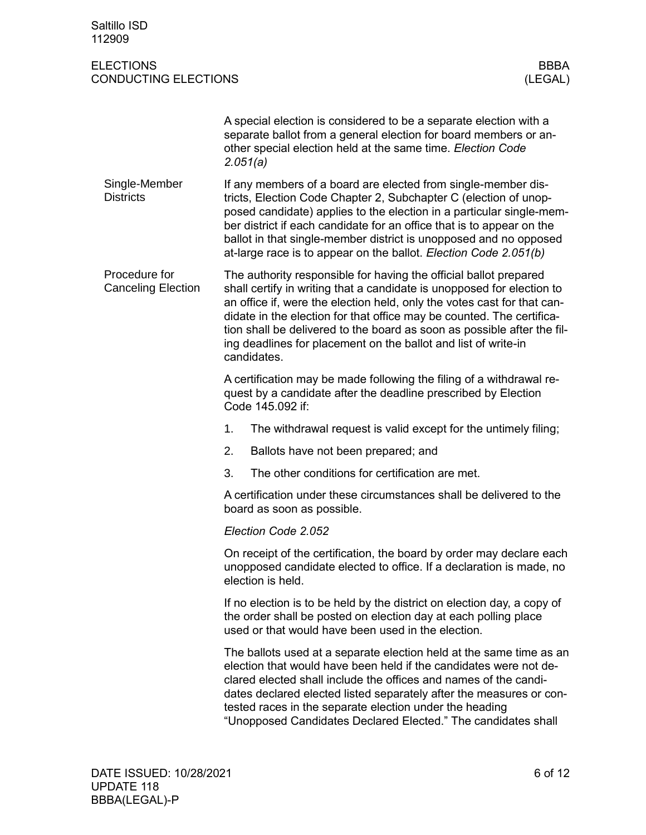| Saltillo ISD<br>112909                          |                                                                                                                                                                                                                                                                                                                                                                                                                                                             |                        |  |  |  |
|-------------------------------------------------|-------------------------------------------------------------------------------------------------------------------------------------------------------------------------------------------------------------------------------------------------------------------------------------------------------------------------------------------------------------------------------------------------------------------------------------------------------------|------------------------|--|--|--|
| <b>ELECTIONS</b><br><b>CONDUCTING ELECTIONS</b> |                                                                                                                                                                                                                                                                                                                                                                                                                                                             | <b>BBBA</b><br>(LEGAL) |  |  |  |
|                                                 | A special election is considered to be a separate election with a<br>separate ballot from a general election for board members or an-<br>other special election held at the same time. Election Code<br>2.051(a)                                                                                                                                                                                                                                            |                        |  |  |  |
| Single-Member<br><b>Districts</b>               | If any members of a board are elected from single-member dis-<br>tricts, Election Code Chapter 2, Subchapter C (election of unop-<br>posed candidate) applies to the election in a particular single-mem-<br>ber district if each candidate for an office that is to appear on the<br>ballot in that single-member district is unopposed and no opposed<br>at-large race is to appear on the ballot. Election Code 2.051(b)                                 |                        |  |  |  |
| Procedure for<br><b>Canceling Election</b>      | The authority responsible for having the official ballot prepared<br>shall certify in writing that a candidate is unopposed for election to<br>an office if, were the election held, only the votes cast for that can-<br>didate in the election for that office may be counted. The certifica-<br>tion shall be delivered to the board as soon as possible after the fil-<br>ing deadlines for placement on the ballot and list of write-in<br>candidates. |                        |  |  |  |
|                                                 | A certification may be made following the filing of a withdrawal re-<br>quest by a candidate after the deadline prescribed by Election<br>Code 145.092 if:                                                                                                                                                                                                                                                                                                  |                        |  |  |  |
|                                                 | 1.<br>The withdrawal request is valid except for the untimely filing;                                                                                                                                                                                                                                                                                                                                                                                       |                        |  |  |  |
|                                                 | 2.<br>Ballots have not been prepared; and                                                                                                                                                                                                                                                                                                                                                                                                                   |                        |  |  |  |
|                                                 | 3.<br>The other conditions for certification are met.                                                                                                                                                                                                                                                                                                                                                                                                       |                        |  |  |  |
|                                                 | A certification under these circumstances shall be delivered to the<br>board as soon as possible.                                                                                                                                                                                                                                                                                                                                                           |                        |  |  |  |
|                                                 | Election Code 2.052                                                                                                                                                                                                                                                                                                                                                                                                                                         |                        |  |  |  |
|                                                 | On receipt of the certification, the board by order may declare each<br>unopposed candidate elected to office. If a declaration is made, no<br>election is held.                                                                                                                                                                                                                                                                                            |                        |  |  |  |
|                                                 | If no election is to be held by the district on election day, a copy of<br>the order shall be posted on election day at each polling place<br>used or that would have been used in the election.                                                                                                                                                                                                                                                            |                        |  |  |  |
|                                                 | The ballots used at a separate election held at the same time as an<br>election that would have been held if the candidates were not de-<br>clared elected shall include the offices and names of the candi-<br>dates declared elected listed separately after the measures or con-<br>tested races in the separate election under the heading<br>"Unopposed Candidates Declared Elected." The candidates shall                                             |                        |  |  |  |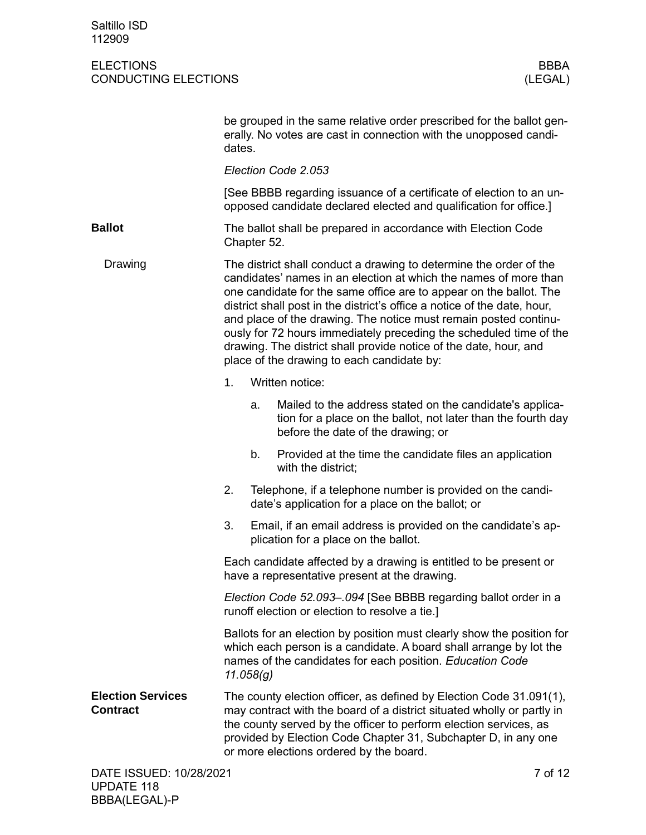|                                             | be grouped in the same relative order prescribed for the ballot gen-<br>erally. No votes are cast in connection with the unopposed candi-<br>dates. |                     |                                                                                                                                                                                                                                                                                                                                                                                                                                                                                                                                                       |  |  |  |
|---------------------------------------------|-----------------------------------------------------------------------------------------------------------------------------------------------------|---------------------|-------------------------------------------------------------------------------------------------------------------------------------------------------------------------------------------------------------------------------------------------------------------------------------------------------------------------------------------------------------------------------------------------------------------------------------------------------------------------------------------------------------------------------------------------------|--|--|--|
|                                             |                                                                                                                                                     | Election Code 2.053 |                                                                                                                                                                                                                                                                                                                                                                                                                                                                                                                                                       |  |  |  |
|                                             |                                                                                                                                                     |                     | [See BBBB regarding issuance of a certificate of election to an un-<br>opposed candidate declared elected and qualification for office.]                                                                                                                                                                                                                                                                                                                                                                                                              |  |  |  |
| <b>Ballot</b>                               | The ballot shall be prepared in accordance with Election Code<br>Chapter 52.                                                                        |                     |                                                                                                                                                                                                                                                                                                                                                                                                                                                                                                                                                       |  |  |  |
| Drawing                                     |                                                                                                                                                     |                     | The district shall conduct a drawing to determine the order of the<br>candidates' names in an election at which the names of more than<br>one candidate for the same office are to appear on the ballot. The<br>district shall post in the district's office a notice of the date, hour,<br>and place of the drawing. The notice must remain posted continu-<br>ously for 72 hours immediately preceding the scheduled time of the<br>drawing. The district shall provide notice of the date, hour, and<br>place of the drawing to each candidate by: |  |  |  |
|                                             | 1.                                                                                                                                                  |                     | Written notice:                                                                                                                                                                                                                                                                                                                                                                                                                                                                                                                                       |  |  |  |
|                                             |                                                                                                                                                     | a.                  | Mailed to the address stated on the candidate's applica-<br>tion for a place on the ballot, not later than the fourth day<br>before the date of the drawing; or                                                                                                                                                                                                                                                                                                                                                                                       |  |  |  |
|                                             |                                                                                                                                                     | b.                  | Provided at the time the candidate files an application<br>with the district;                                                                                                                                                                                                                                                                                                                                                                                                                                                                         |  |  |  |
|                                             | 2.                                                                                                                                                  |                     | Telephone, if a telephone number is provided on the candi-<br>date's application for a place on the ballot; or                                                                                                                                                                                                                                                                                                                                                                                                                                        |  |  |  |
|                                             | 3.                                                                                                                                                  |                     | Email, if an email address is provided on the candidate's ap-<br>plication for a place on the ballot.                                                                                                                                                                                                                                                                                                                                                                                                                                                 |  |  |  |
|                                             | Each candidate affected by a drawing is entitled to be present or<br>have a representative present at the drawing.                                  |                     |                                                                                                                                                                                                                                                                                                                                                                                                                                                                                                                                                       |  |  |  |
|                                             | Election Code 52.093-.094 [See BBBB regarding ballot order in a<br>runoff election or election to resolve a tie.]                                   |                     |                                                                                                                                                                                                                                                                                                                                                                                                                                                                                                                                                       |  |  |  |
|                                             |                                                                                                                                                     | 11.058(g)           | Ballots for an election by position must clearly show the position for<br>which each person is a candidate. A board shall arrange by lot the<br>names of the candidates for each position. Education Code                                                                                                                                                                                                                                                                                                                                             |  |  |  |
| <b>Election Services</b><br><b>Contract</b> |                                                                                                                                                     |                     | The county election officer, as defined by Election Code 31.091(1),<br>may contract with the board of a district situated wholly or partly in<br>the county served by the officer to perform election services, as<br>provided by Election Code Chapter 31, Subchapter D, in any one<br>or more elections ordered by the board.                                                                                                                                                                                                                       |  |  |  |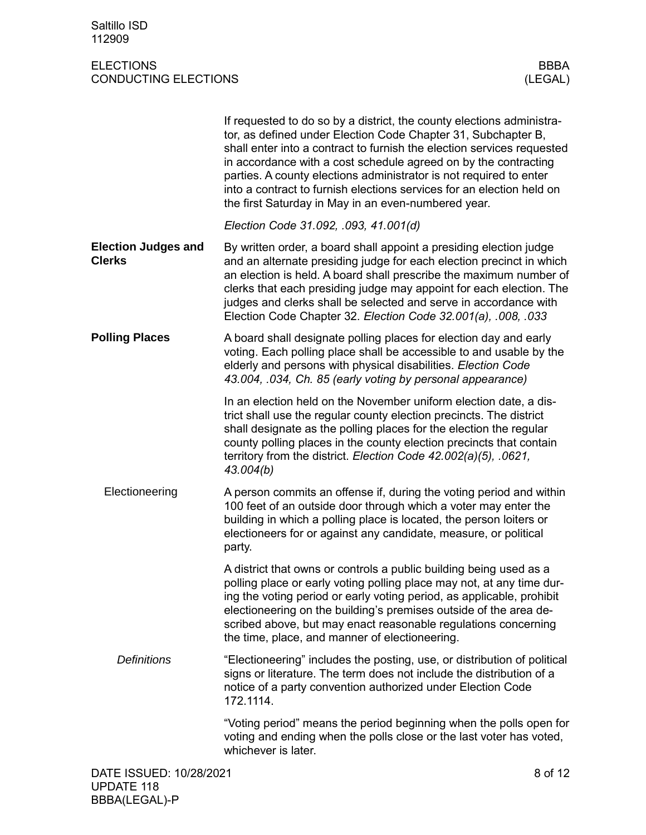|                                             | If requested to do so by a district, the county elections administra-<br>tor, as defined under Election Code Chapter 31, Subchapter B,<br>shall enter into a contract to furnish the election services requested<br>in accordance with a cost schedule agreed on by the contracting<br>parties. A county elections administrator is not required to enter<br>into a contract to furnish elections services for an election held on<br>the first Saturday in May in an even-numbered year. |
|---------------------------------------------|-------------------------------------------------------------------------------------------------------------------------------------------------------------------------------------------------------------------------------------------------------------------------------------------------------------------------------------------------------------------------------------------------------------------------------------------------------------------------------------------|
|                                             | Election Code 31.092, .093, 41.001(d)                                                                                                                                                                                                                                                                                                                                                                                                                                                     |
| <b>Election Judges and</b><br><b>Clerks</b> | By written order, a board shall appoint a presiding election judge<br>and an alternate presiding judge for each election precinct in which<br>an election is held. A board shall prescribe the maximum number of<br>clerks that each presiding judge may appoint for each election. The<br>judges and clerks shall be selected and serve in accordance with<br>Election Code Chapter 32. Election Code 32.001(a), .008, .033                                                              |
| <b>Polling Places</b>                       | A board shall designate polling places for election day and early<br>voting. Each polling place shall be accessible to and usable by the<br>elderly and persons with physical disabilities. Election Code<br>43.004, .034, Ch. 85 (early voting by personal appearance)                                                                                                                                                                                                                   |
|                                             | In an election held on the November uniform election date, a dis-<br>trict shall use the regular county election precincts. The district<br>shall designate as the polling places for the election the regular<br>county polling places in the county election precincts that contain<br>territory from the district. Election Code 42.002(a)(5), .0621,<br>43.004(b)                                                                                                                     |
| Electioneering                              | A person commits an offense if, during the voting period and within<br>100 feet of an outside door through which a voter may enter the<br>building in which a polling place is located, the person loiters or<br>electioneers for or against any candidate, measure, or political<br>party.                                                                                                                                                                                               |
|                                             | A district that owns or controls a public building being used as a<br>polling place or early voting polling place may not, at any time dur-<br>ing the voting period or early voting period, as applicable, prohibit<br>electioneering on the building's premises outside of the area de-<br>scribed above, but may enact reasonable regulations concerning<br>the time, place, and manner of electioneering.                                                                             |
| <b>Definitions</b>                          | "Electioneering" includes the posting, use, or distribution of political<br>signs or literature. The term does not include the distribution of a<br>notice of a party convention authorized under Election Code<br>172.1114.                                                                                                                                                                                                                                                              |
|                                             | "Voting period" means the period beginning when the polls open for<br>voting and ending when the polls close or the last voter has voted,<br>whichever is later.                                                                                                                                                                                                                                                                                                                          |
| DATE ISSUED: 10/28/2021                     | 8 of 12                                                                                                                                                                                                                                                                                                                                                                                                                                                                                   |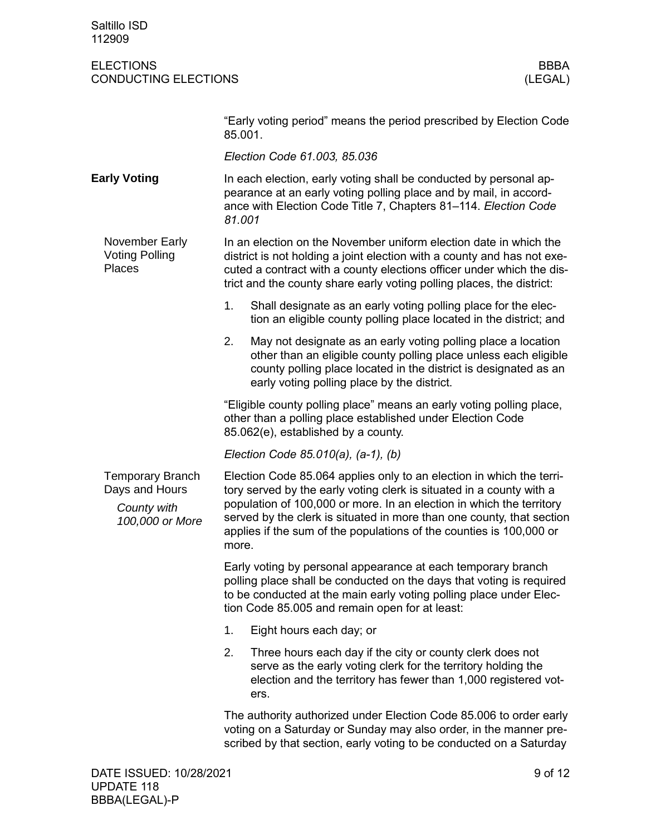| Saltillo ISD<br>112909                                                      |                                                                                                                                                                                                                                                                                                                                                                               |  |  |  |  |
|-----------------------------------------------------------------------------|-------------------------------------------------------------------------------------------------------------------------------------------------------------------------------------------------------------------------------------------------------------------------------------------------------------------------------------------------------------------------------|--|--|--|--|
| <b>ELECTIONS</b><br><b>CONDUCTING ELECTIONS</b>                             | <b>BBBA</b><br>(LEGAL)                                                                                                                                                                                                                                                                                                                                                        |  |  |  |  |
|                                                                             | "Early voting period" means the period prescribed by Election Code<br>85.001.                                                                                                                                                                                                                                                                                                 |  |  |  |  |
|                                                                             | Election Code 61.003, 85.036                                                                                                                                                                                                                                                                                                                                                  |  |  |  |  |
| <b>Early Voting</b>                                                         | In each election, early voting shall be conducted by personal ap-<br>pearance at an early voting polling place and by mail, in accord-<br>ance with Election Code Title 7, Chapters 81-114. Election Code<br>81.001                                                                                                                                                           |  |  |  |  |
| November Early<br><b>Voting Polling</b><br><b>Places</b>                    | In an election on the November uniform election date in which the<br>district is not holding a joint election with a county and has not exe-<br>cuted a contract with a county elections officer under which the dis-<br>trict and the county share early voting polling places, the district:                                                                                |  |  |  |  |
|                                                                             | 1.<br>Shall designate as an early voting polling place for the elec-<br>tion an eligible county polling place located in the district; and                                                                                                                                                                                                                                    |  |  |  |  |
|                                                                             | 2.<br>May not designate as an early voting polling place a location<br>other than an eligible county polling place unless each eligible<br>county polling place located in the district is designated as an<br>early voting polling place by the district.                                                                                                                    |  |  |  |  |
|                                                                             | "Eligible county polling place" means an early voting polling place,<br>other than a polling place established under Election Code<br>85.062(e), established by a county.                                                                                                                                                                                                     |  |  |  |  |
|                                                                             | Election Code 85.010(a), (a-1), (b)                                                                                                                                                                                                                                                                                                                                           |  |  |  |  |
| <b>Temporary Branch</b><br>Days and Hours<br>County with<br>100,000 or More | Election Code 85.064 applies only to an election in which the terri-<br>tory served by the early voting clerk is situated in a county with a<br>population of 100,000 or more. In an election in which the territory<br>served by the clerk is situated in more than one county, that section<br>applies if the sum of the populations of the counties is 100,000 or<br>more. |  |  |  |  |
|                                                                             | Early voting by personal appearance at each temporary branch<br>polling place shall be conducted on the days that voting is required<br>to be conducted at the main early voting polling place under Elec-<br>tion Code 85.005 and remain open for at least:                                                                                                                  |  |  |  |  |
|                                                                             | 1.<br>Eight hours each day; or                                                                                                                                                                                                                                                                                                                                                |  |  |  |  |
|                                                                             | 2.<br>Three hours each day if the city or county clerk does not<br>serve as the early voting clerk for the territory holding the<br>election and the territory has fewer than 1,000 registered vot-<br>ers.                                                                                                                                                                   |  |  |  |  |
|                                                                             | The authority authorized under Election Code 85.006 to order early<br>voting on a Saturday or Sunday may also order, in the manner pre-<br>scribed by that section, early voting to be conducted on a Saturday                                                                                                                                                                |  |  |  |  |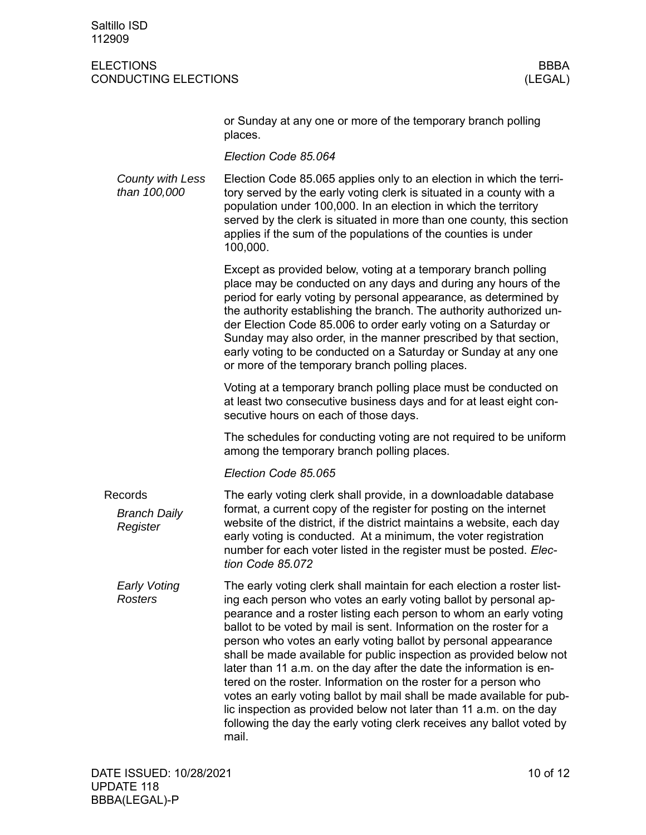Saltillo ISD 112909

|                                            | or Sunday at any one or more of the temporary branch polling<br>places.                                                                                                                                                                                                                                                                                                                                                                                                                                                                                                                                                                                                                                                                                                                                    |
|--------------------------------------------|------------------------------------------------------------------------------------------------------------------------------------------------------------------------------------------------------------------------------------------------------------------------------------------------------------------------------------------------------------------------------------------------------------------------------------------------------------------------------------------------------------------------------------------------------------------------------------------------------------------------------------------------------------------------------------------------------------------------------------------------------------------------------------------------------------|
|                                            | Election Code 85.064                                                                                                                                                                                                                                                                                                                                                                                                                                                                                                                                                                                                                                                                                                                                                                                       |
| County with Less<br>than 100,000           | Election Code 85.065 applies only to an election in which the terri-<br>tory served by the early voting clerk is situated in a county with a<br>population under 100,000. In an election in which the territory<br>served by the clerk is situated in more than one county, this section<br>applies if the sum of the populations of the counties is under<br>100,000.                                                                                                                                                                                                                                                                                                                                                                                                                                     |
|                                            | Except as provided below, voting at a temporary branch polling<br>place may be conducted on any days and during any hours of the<br>period for early voting by personal appearance, as determined by<br>the authority establishing the branch. The authority authorized un-<br>der Election Code 85.006 to order early voting on a Saturday or<br>Sunday may also order, in the manner prescribed by that section,<br>early voting to be conducted on a Saturday or Sunday at any one<br>or more of the temporary branch polling places.                                                                                                                                                                                                                                                                   |
|                                            | Voting at a temporary branch polling place must be conducted on<br>at least two consecutive business days and for at least eight con-<br>secutive hours on each of those days.                                                                                                                                                                                                                                                                                                                                                                                                                                                                                                                                                                                                                             |
|                                            | The schedules for conducting voting are not required to be uniform<br>among the temporary branch polling places.                                                                                                                                                                                                                                                                                                                                                                                                                                                                                                                                                                                                                                                                                           |
|                                            | Election Code 85.065                                                                                                                                                                                                                                                                                                                                                                                                                                                                                                                                                                                                                                                                                                                                                                                       |
| Records<br><b>Branch Daily</b><br>Register | The early voting clerk shall provide, in a downloadable database<br>format, a current copy of the register for posting on the internet<br>website of the district, if the district maintains a website, each day<br>early voting is conducted. At a minimum, the voter registration<br>number for each voter listed in the register must be posted. Elec-<br>tion Code 85.072                                                                                                                                                                                                                                                                                                                                                                                                                              |
| <b>Early Voting</b><br>Rosters             | The early voting clerk shall maintain for each election a roster list-<br>ing each person who votes an early voting ballot by personal ap-<br>pearance and a roster listing each person to whom an early voting<br>ballot to be voted by mail is sent. Information on the roster for a<br>person who votes an early voting ballot by personal appearance<br>shall be made available for public inspection as provided below not<br>later than 11 a.m. on the day after the date the information is en-<br>tered on the roster. Information on the roster for a person who<br>votes an early voting ballot by mail shall be made available for pub-<br>lic inspection as provided below not later than 11 a.m. on the day<br>following the day the early voting clerk receives any ballot voted by<br>mail. |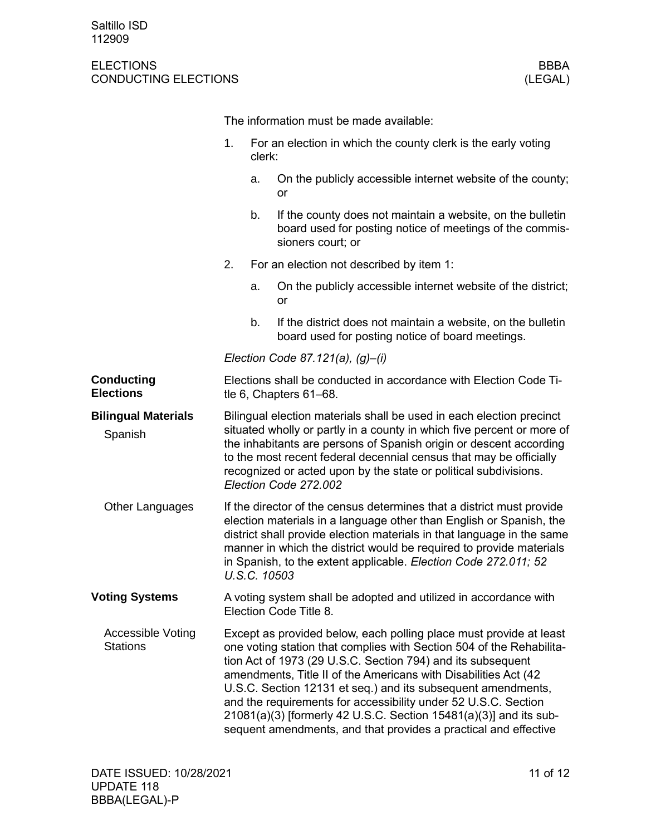|                                             |    | The information must be made available:                                                                                                                                                                                                                                                                                                                                                 |                                                                                                                                                                                                                                                                                                                                                                                                                                                                                                                                                        |  |  |  |
|---------------------------------------------|----|-----------------------------------------------------------------------------------------------------------------------------------------------------------------------------------------------------------------------------------------------------------------------------------------------------------------------------------------------------------------------------------------|--------------------------------------------------------------------------------------------------------------------------------------------------------------------------------------------------------------------------------------------------------------------------------------------------------------------------------------------------------------------------------------------------------------------------------------------------------------------------------------------------------------------------------------------------------|--|--|--|
|                                             | 1. |                                                                                                                                                                                                                                                                                                                                                                                         | For an election in which the county clerk is the early voting<br>clerk:                                                                                                                                                                                                                                                                                                                                                                                                                                                                                |  |  |  |
|                                             |    | a.                                                                                                                                                                                                                                                                                                                                                                                      | On the publicly accessible internet website of the county;<br>or                                                                                                                                                                                                                                                                                                                                                                                                                                                                                       |  |  |  |
|                                             | 2. | b.                                                                                                                                                                                                                                                                                                                                                                                      | If the county does not maintain a website, on the bulletin<br>board used for posting notice of meetings of the commis-<br>sioners court; or                                                                                                                                                                                                                                                                                                                                                                                                            |  |  |  |
|                                             |    |                                                                                                                                                                                                                                                                                                                                                                                         | For an election not described by item 1:                                                                                                                                                                                                                                                                                                                                                                                                                                                                                                               |  |  |  |
|                                             |    | a.                                                                                                                                                                                                                                                                                                                                                                                      | On the publicly accessible internet website of the district;<br>or                                                                                                                                                                                                                                                                                                                                                                                                                                                                                     |  |  |  |
|                                             |    | b.                                                                                                                                                                                                                                                                                                                                                                                      | If the district does not maintain a website, on the bulletin<br>board used for posting notice of board meetings.                                                                                                                                                                                                                                                                                                                                                                                                                                       |  |  |  |
|                                             |    |                                                                                                                                                                                                                                                                                                                                                                                         | Election Code 87.121(a), $(g)$ –(i)                                                                                                                                                                                                                                                                                                                                                                                                                                                                                                                    |  |  |  |
| <b>Conducting</b><br><b>Elections</b>       |    | Elections shall be conducted in accordance with Election Code Ti-<br>tle 6, Chapters 61-68.                                                                                                                                                                                                                                                                                             |                                                                                                                                                                                                                                                                                                                                                                                                                                                                                                                                                        |  |  |  |
| <b>Bilingual Materials</b><br>Spanish       |    | Bilingual election materials shall be used in each election precinct<br>situated wholly or partly in a county in which five percent or more of<br>the inhabitants are persons of Spanish origin or descent according<br>to the most recent federal decennial census that may be officially<br>recognized or acted upon by the state or political subdivisions.<br>Election Code 272.002 |                                                                                                                                                                                                                                                                                                                                                                                                                                                                                                                                                        |  |  |  |
| <b>Other Languages</b>                      |    | If the director of the census determines that a district must provide<br>election materials in a language other than English or Spanish, the<br>district shall provide election materials in that language in the same<br>manner in which the district would be required to provide materials<br>in Spanish, to the extent applicable. Election Code 272.011; 52<br>U.S.C. 10503        |                                                                                                                                                                                                                                                                                                                                                                                                                                                                                                                                                        |  |  |  |
| <b>Voting Systems</b>                       |    |                                                                                                                                                                                                                                                                                                                                                                                         | A voting system shall be adopted and utilized in accordance with<br>Election Code Title 8.                                                                                                                                                                                                                                                                                                                                                                                                                                                             |  |  |  |
| <b>Accessible Voting</b><br><b>Stations</b> |    |                                                                                                                                                                                                                                                                                                                                                                                         | Except as provided below, each polling place must provide at least<br>one voting station that complies with Section 504 of the Rehabilita-<br>tion Act of 1973 (29 U.S.C. Section 794) and its subsequent<br>amendments, Title II of the Americans with Disabilities Act (42<br>U.S.C. Section 12131 et seq.) and its subsequent amendments,<br>and the requirements for accessibility under 52 U.S.C. Section<br>21081(a)(3) [formerly 42 U.S.C. Section 15481(a)(3)] and its sub-<br>sequent amendments, and that provides a practical and effective |  |  |  |